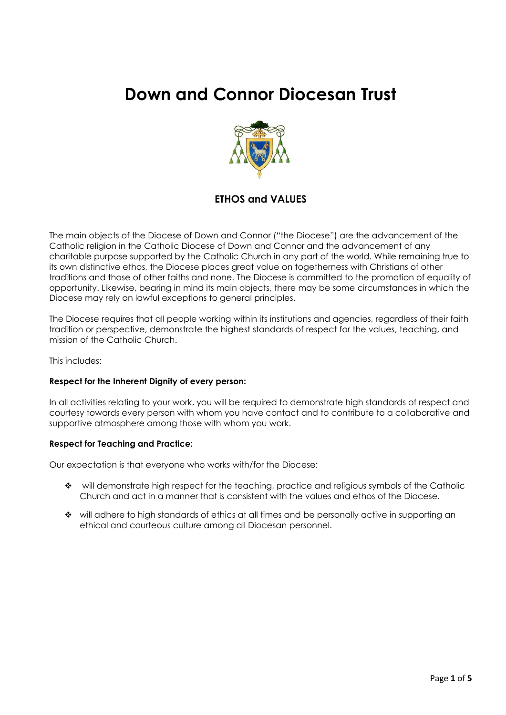# **Down and Connor Diocesan Trust**



### **ETHOS and VALUES**

The main objects of the Diocese of Down and Connor ("the Diocese") are the advancement of the Catholic religion in the Catholic Diocese of Down and Connor and the advancement of any charitable purpose supported by the Catholic Church in any part of the world. While remaining true to its own distinctive ethos, the Diocese places great value on togetherness with Christians of other traditions and those of other faiths and none. The Diocese is committed to the promotion of equality of opportunity. Likewise, bearing in mind its main objects, there may be some circumstances in which the Diocese may rely on lawful exceptions to general principles.

The Diocese requires that all people working within its institutions and agencies, regardless of their faith tradition or perspective, demonstrate the highest standards of respect for the values, teaching, and mission of the Catholic Church.

This includes:

#### **Respect for the Inherent Dignity of every person:**

In all activities relating to your work, you will be required to demonstrate high standards of respect and courtesy towards every person with whom you have contact and to contribute to a collaborative and supportive atmosphere among those with whom you work.

#### **Respect for Teaching and Practice:**

Our expectation is that everyone who works with/for the Diocese:

- ❖ will demonstrate high respect for the teaching, practice and religious symbols of the Catholic Church and act in a manner that is consistent with the values and ethos of the Diocese.
- ❖ will adhere to high standards of ethics at all times and be personally active in supporting an ethical and courteous culture among all Diocesan personnel.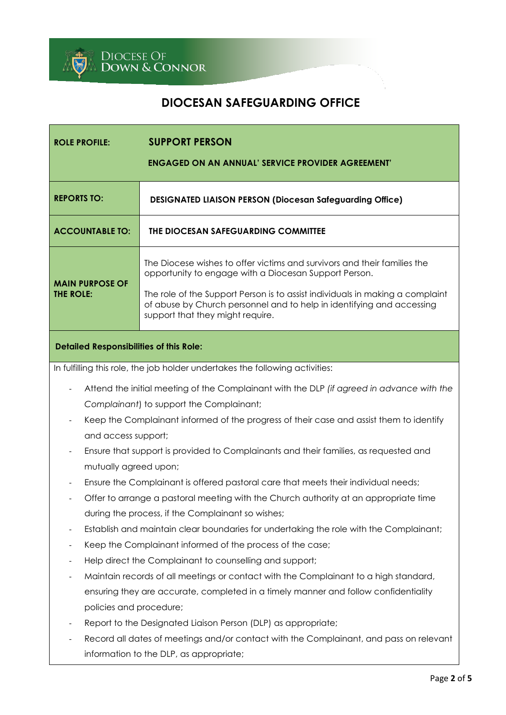

# **DIOCESAN SAFEGUARDING OFFICE**

| <b>ROLE PROFILE:</b>                                                                      | <b>SUPPORT PERSON</b>                                                                                                                                                                      |  |
|-------------------------------------------------------------------------------------------|--------------------------------------------------------------------------------------------------------------------------------------------------------------------------------------------|--|
|                                                                                           | <b>ENGAGED ON AN ANNUAL' SERVICE PROVIDER AGREEMENT'</b>                                                                                                                                   |  |
|                                                                                           |                                                                                                                                                                                            |  |
| <b>REPORTS TO:</b>                                                                        | <b>DESIGNATED LIAISON PERSON (Diocesan Safeguarding Office)</b>                                                                                                                            |  |
| <b>ACCOUNTABLE TO:</b>                                                                    | THE DIOCESAN SAFEGUARDING COMMITTEE                                                                                                                                                        |  |
| <b>MAIN PURPOSE OF</b>                                                                    | The Diocese wishes to offer victims and survivors and their families the<br>opportunity to engage with a Diocesan Support Person.                                                          |  |
| THE ROLE:                                                                                 | The role of the Support Person is to assist individuals in making a complaint<br>of abuse by Church personnel and to help in identifying and accessing<br>support that they might require. |  |
| <b>Detailed Responsibilities of this Role:</b>                                            |                                                                                                                                                                                            |  |
|                                                                                           | In fulfilling this role, the job holder undertakes the following activities:                                                                                                               |  |
| Attend the initial meeting of the Complainant with the DLP (if agreed in advance with the |                                                                                                                                                                                            |  |
| Complainant) to support the Complainant;                                                  |                                                                                                                                                                                            |  |
| Keep the Complainant informed of the progress of their case and assist them to identify   |                                                                                                                                                                                            |  |
| and access support;                                                                       |                                                                                                                                                                                            |  |
| Ensure that support is provided to Complainants and their families, as requested and      |                                                                                                                                                                                            |  |
| mutually agreed upon;                                                                     |                                                                                                                                                                                            |  |
| Ensure the Complainant is offered pastoral care that meets their individual needs;        |                                                                                                                                                                                            |  |
| Offer to arrange a pastoral meeting with the Church authority at an appropriate time      |                                                                                                                                                                                            |  |
| during the process, if the Complainant so wishes;                                         |                                                                                                                                                                                            |  |
| Establish and maintain clear boundaries for undertaking the role with the Complainant;    |                                                                                                                                                                                            |  |
| Keep the Complainant informed of the process of the case;                                 |                                                                                                                                                                                            |  |
| Help direct the Complainant to counselling and support;<br>$\overline{\phantom{a}}$       |                                                                                                                                                                                            |  |
| Maintain records of all meetings or contact with the Complainant to a high standard,      |                                                                                                                                                                                            |  |
| ensuring they are accurate, completed in a timely manner and follow confidentiality       |                                                                                                                                                                                            |  |
|                                                                                           | policies and procedure;                                                                                                                                                                    |  |
|                                                                                           | Report to the Designated Liaison Person (DLP) as appropriate;                                                                                                                              |  |
|                                                                                           | Record all dates of meetings and/or contact with the Complainant, and pass on relevant                                                                                                     |  |
|                                                                                           | information to the DLP, as appropriate;                                                                                                                                                    |  |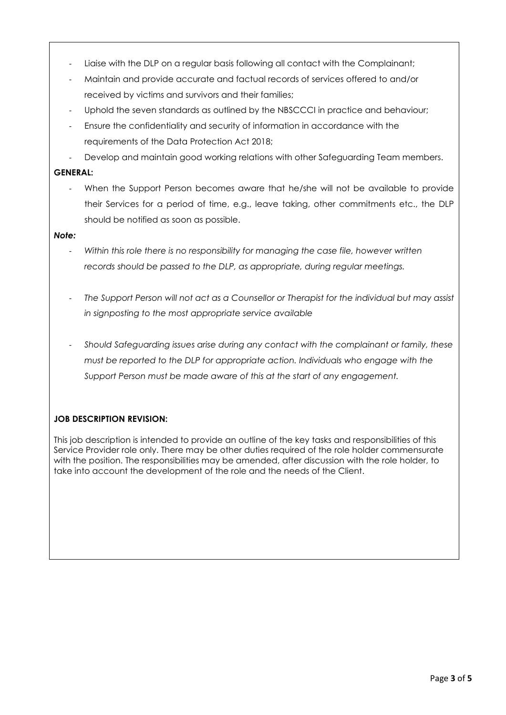- Liaise with the DLP on a regular basis following all contact with the Complainant;
- Maintain and provide accurate and factual records of services offered to and/or received by victims and survivors and their families;
- Uphold the seven standards as outlined by the NBSCCCI in practice and behaviour;
- Ensure the confidentiality and security of information in accordance with the requirements of the Data Protection Act 2018;
- Develop and maintain good working relations with other Safeguarding Team members.

#### **GENERAL:**

When the Support Person becomes aware that he/she will not be available to provide their Services for a period of time, e.g., leave taking, other commitments etc., the DLP should be notified as soon as possible.

#### *Note:*

- *Within this role there is no responsibility for managing the case file, however written records should be passed to the DLP, as appropriate, during regular meetings.*
- *The Support Person will not act as a Counsellor or Therapist for the individual but may assist in signposting to the most appropriate service available*
- *Should Safeguarding issues arise during any contact with the complainant or family, these must be reported to the DLP for appropriate action. Individuals who engage with the Support Person must be made aware of this at the start of any engagement.*

### **JOB DESCRIPTION REVISION:**

This job description is intended to provide an outline of the key tasks and responsibilities of this Service Provider role only. There may be other duties required of the role holder commensurate with the position. The responsibilities may be amended, after discussion with the role holder, to take into account the development of the role and the needs of the Client.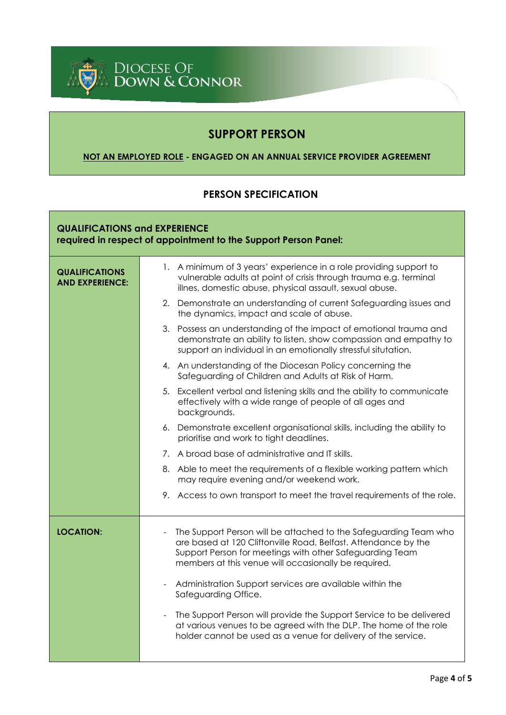

# **SUPPORT PERSON**

## **NOT AN EMPLOYED ROLE - ENGAGED ON AN ANNUAL SERVICE PROVIDER AGREEMENT**

# **PERSON SPECIFICATION**

| <b>QUALIFICATIONS and EXPERIENCE</b><br>required in respect of appointment to the Support Person Panel: |                                                                                                                                                                                                                                                                                    |  |
|---------------------------------------------------------------------------------------------------------|------------------------------------------------------------------------------------------------------------------------------------------------------------------------------------------------------------------------------------------------------------------------------------|--|
| <b>QUALIFICATIONS</b><br><b>AND EXPERIENCE:</b>                                                         | 1. A minimum of 3 years' experience in a role providing support to<br>vulnerable adults at point of crisis through trauma e.g. terminal<br>illnes, domestic abuse, physical assault, sexual abuse.                                                                                 |  |
|                                                                                                         | 2. Demonstrate an understanding of current Safeguarding issues and<br>the dynamics, impact and scale of abuse.                                                                                                                                                                     |  |
|                                                                                                         | 3. Possess an understanding of the impact of emotional trauma and<br>demonstrate an ability to listen, show compassion and empathy to<br>support an individual in an emotionally stressful situtation.                                                                             |  |
|                                                                                                         | 4. An understanding of the Diocesan Policy concerning the<br>Safeguarding of Children and Adults at Risk of Harm.                                                                                                                                                                  |  |
|                                                                                                         | 5. Excellent verbal and listening skills and the ability to communicate<br>effectively with a wide range of people of all ages and<br>backgrounds.                                                                                                                                 |  |
|                                                                                                         | 6. Demonstrate excellent organisational skills, including the ability to<br>prioritise and work to tight deadlines.                                                                                                                                                                |  |
|                                                                                                         | 7. A broad base of administrative and IT skills.                                                                                                                                                                                                                                   |  |
|                                                                                                         | 8. Able to meet the requirements of a flexible working pattern which<br>may require evening and/or weekend work.                                                                                                                                                                   |  |
|                                                                                                         | 9. Access to own transport to meet the travel requirements of the role.                                                                                                                                                                                                            |  |
| <b>LOCATION:</b>                                                                                        | The Support Person will be attached to the Safeguarding Team who<br>$\overline{\phantom{a}}$<br>are based at 120 Cliftonville Road, Belfast. Attendance by the<br>Support Person for meetings with other Safeguarding Team<br>members at this venue will occasionally be required. |  |
|                                                                                                         | Administration Support services are available within the<br>Safeguarding Office.                                                                                                                                                                                                   |  |
|                                                                                                         | The Support Person will provide the Support Service to be delivered<br>at various venues to be agreed with the DLP. The home of the role<br>holder cannot be used as a venue for delivery of the service.                                                                          |  |
|                                                                                                         |                                                                                                                                                                                                                                                                                    |  |